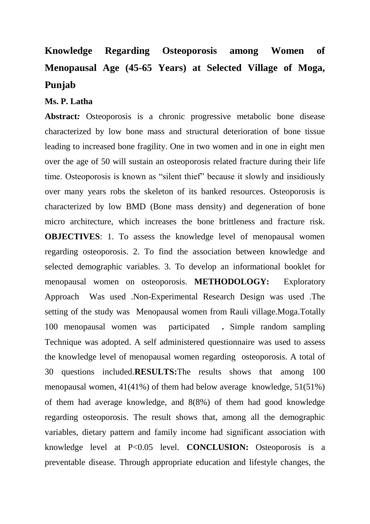## **Knowledge Regarding Osteoporosis among Women of Menopausal Age (45-65 Years) at Selected Village of Moga, Punjab**

## **Ms. P. Latha**

Abstract: Osteoporosis is a chronic progressive metabolic bone disease characterized by low bone mass and structural deterioration of bone tissue leading to increased bone fragility. One in two women and in one in eight men over the age of 50 will sustain an osteoporosis related fracture during their life time. Osteoporosis is known as "silent thief" because it slowly and insidiously over many years robs the skeleton of its banked resources. Osteoporosis is characterized by low BMD (Bone mass density) and degeneration of bone micro architecture, which increases the bone brittleness and fracture risk. **OBJECTIVES**: 1. To assess the knowledge level of menopausal women regarding osteoporosis. 2. To find the association between knowledge and selected demographic variables. 3. To develop an informational booklet for menopausal women on osteoporosis. **METHODOLOGY:** Exploratory Approach Was used .Non-Experimental Research Design was used .The setting of the study wasMenopausal women from Rauli village.Moga.Totally 100 menopausal women was participated **.** Simple random sampling Technique was adopted. A self administered questionnaire was used to assess the knowledge level of menopausal women regarding osteoporosis. A total of 30 questions included.**RESULTS:**The results shows that among 100 menopausal women, 41(41%) of them had below average knowledge, 51(51%) of them had average knowledge, and 8(8%) of them had good knowledge regarding osteoporosis. The result shows that, among all the demographic variables, dietary pattern and family income had significant association with knowledge level at P<0.05 level. **CONCLUSION:** Osteoporosis is a preventable disease. Through appropriate education and lifestyle changes, the